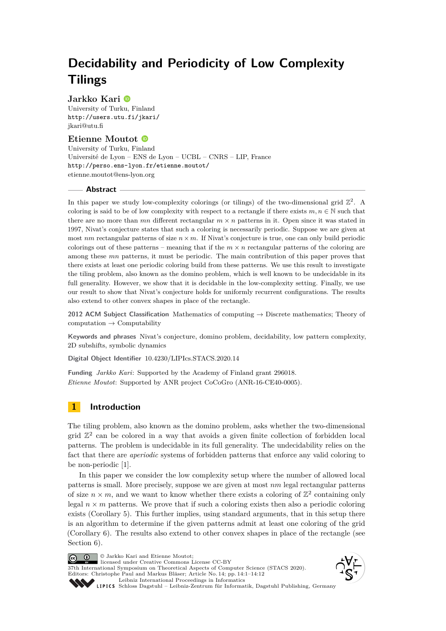# **Decidability and Periodicity of Low Complexity Tilings**

# **Jarkko Kari**

University of Turku, Finland <http://users.utu.fi/jkari/> [jkari@utu.fi](mailto:jkari@utu.fi)

# **Etienne Moutot**

University of Turku, Finland Université de Lyon – ENS de Lyon – UCBL – CNRS – LIP, France <http://perso.ens-lyon.fr/etienne.moutot/> [etienne.moutot@ens-lyon.org](mailto:etienne.moutot@ens-lyon.org)

## **Abstract**

In this paper we study low-complexity colorings (or tilings) of the two-dimensional grid  $\mathbb{Z}^2$ . A coloring is said to be of low complexity with respect to a rectangle if there exists  $m, n \in \mathbb{N}$  such that there are no more than  $mn$  different rectangular  $m \times n$  patterns in it. Open since it was stated in 1997, Nivat's conjecture states that such a coloring is necessarily periodic. Suppose we are given at most *nm* rectangular patterns of size  $n \times m$ . If Nivat's conjecture is true, one can only build periodic colorings out of these patterns – meaning that if the  $m \times n$  rectangular patterns of the coloring are among these *mn* patterns, it must be periodic. The main contribution of this paper proves that there exists at least one periodic coloring build from these patterns. We use this result to investigate the tiling problem, also known as the domino problem, which is well known to be undecidable in its full generality. However, we show that it is decidable in the low-complexity setting. Finally, we use our result to show that Nivat's conjecture holds for uniformly recurrent configurations. The results also extend to other convex shapes in place of the rectangle.

**2012 ACM Subject Classification** Mathematics of computing → Discrete mathematics; Theory of  $computation \rightarrow Computation$ 

**Keywords and phrases** Nivat's conjecture, domino problem, decidability, low pattern complexity, 2D subshifts, symbolic dynamics

**Digital Object Identifier** [10.4230/LIPIcs.STACS.2020.14](https://doi.org/10.4230/LIPIcs.STACS.2020.14)

**Funding** *Jarkko Kari*: Supported by the Academy of Finland grant 296018. *Etienne Moutot*: Supported by ANR project CoCoGro (ANR-16-CE40-0005).

# **1 Introduction**

The tiling problem, also known as the domino problem, asks whether the two-dimensional grid  $\mathbb{Z}^2$  can be colored in a way that avoids a given finite collection of forbidden local patterns. The problem is undecidable in its full generality. The undecidability relies on the fact that there are *aperiodic* systems of forbidden patterns that enforce any valid coloring to be non-periodic [\[1\]](#page-10-0).

In this paper we consider the low complexity setup where the number of allowed local patterns is small. More precisely, suppose we are given at most *nm* legal rectangular patterns of size  $n \times m$ , and we want to know whether there exists a coloring of  $\mathbb{Z}^2$  containing only legal  $n \times m$  patterns. We prove that if such a coloring exists then also a periodic coloring exists (Corollary [5\)](#page-4-0). This further implies, using standard arguments, that in this setup there is an algorithm to determine if the given patterns admit at least one coloring of the grid (Corollary [6\)](#page-4-1). The results also extend to other convex shapes in place of the rectangle (see Section [6\)](#page-10-1).

© Jarkko Kari and Etienne Moutot; licensed under Creative Commons License CC-BY 37th International Symposium on Theoretical Aspects of Computer Science (STACS 2020). Editors: Christophe Paul and Markus Bläser; Article No. 14; pp. 14:1–14[:12](#page-11-0) [Leibniz International Proceedings in Informatics](https://www.dagstuhl.de/lipics/)





[Schloss Dagstuhl – Leibniz-Zentrum für Informatik, Dagstuhl Publishing, Germany](https://www.dagstuhl.de)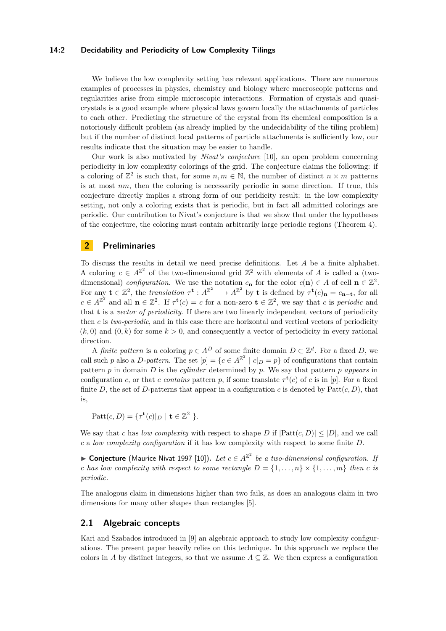## **14:2 Decidability and Periodicity of Low Complexity Tilings**

We believe the low complexity setting has relevant applications. There are numerous examples of processes in physics, chemistry and biology where macroscopic patterns and regularities arise from simple microscopic interactions. Formation of crystals and quasicrystals is a good example where physical laws govern locally the attachments of particles to each other. Predicting the structure of the crystal from its chemical composition is a notoriously difficult problem (as already implied by the undecidability of the tiling problem) but if the number of distinct local patterns of particle attachments is sufficiently low, our results indicate that the situation may be easier to handle.

Our work is also motivated by *Nivat's conjecture* [\[10\]](#page-11-1), an open problem concerning periodicity in low complexity colorings of the grid. The conjecture claims the following: if a coloring of  $\mathbb{Z}^2$  is such that, for some  $n, m \in \mathbb{N}$ , the number of distinct  $n \times m$  patterns is at most *nm*, then the coloring is necessarily periodic in some direction. If true, this conjecture directly implies a strong form of our peridicity result: in the low complexity setting, not only a coloring exists that is periodic, but in fact all admitted colorings are periodic. Our contribution to Nivat's conjecture is that we show that under the hypotheses of the conjecture, the coloring must contain arbitrarily large periodic regions (Theorem [4\)](#page-4-2).

# **2 Preliminaries**

To discuss the results in detail we need precise definitions. Let *A* be a finite alphabet. A coloring  $c \in A^{\mathbb{Z}^2}$  of the two-dimensional grid  $\mathbb{Z}^2$  with elements of A is called a (twodimensional) *configuration*. We use the notation  $c_n$  for the color  $c(n) \in A$  of cell  $n \in \mathbb{Z}^2$ . For any  $\mathbf{t} \in \mathbb{Z}^2$ , the *translation*  $\tau^{\mathbf{t}}: A^{\mathbb{Z}^2} \longrightarrow A^{\mathbb{Z}^2}$  by **t** is defined by  $\tau^{\mathbf{t}}(c)_{\mathbf{n}} = c_{\mathbf{n}-\mathbf{t}}$ , for all  $c \in A^{\mathbb{Z}^2}$  and all  $\mathbf{n} \in \mathbb{Z}^2$ . If  $\tau^{\mathbf{t}}(c) = c$  for a non-zero  $\mathbf{t} \in \mathbb{Z}^2$ , we say that *c* is *periodic* and that **t** is a *vector of periodicity*. If there are two linearly independent vectors of periodicity then *c* is *two-periodic*, and in this case there are horizontal and vertical vectors of periodicity  $(k, 0)$  and  $(0, k)$  for some  $k > 0$ , and consequently a vector of periodicity in every rational direction.

A *finite pattern* is a coloring  $p \in A^D$  of some finite domain  $D \subset \mathbb{Z}^d$ . For a fixed *D*, we call such *p* also a *D-pattern*. The set  $[p] = \{c \in A^{\mathbb{Z}^2} \mid c|_D = p\}$  of configurations that contain pattern *p* in domain *D* is the *cylinder* determined by *p*. We say that pattern *p appears* in configuration *c*, or that *c contains* pattern *p*, if some translate  $\tau^{\mathbf{t}}(c)$  of *c* is in [*p*]. For a fixed finite *D*, the set of *D*-patterns that appear in a configuration *c* is denoted by  $Patt(c, D)$ , that is,

 $\mathrm{Patt}(c, D) = \{ \tau^{\mathbf{t}}(c) |_{D} \mid \mathbf{t} \in \mathbb{Z}^{2} \}.$ 

We say that *c* has *low complexity* with respect to shape *D* if  $|P_{\text{att}}(c, D)| \leq |D|$ , and we call *c* a *low complexity configuration* if it has low complexity with respect to some finite *D*.

▶ Conjecture (Maurice Nivat 1997 [\[10\]](#page-11-1)). *Let*  $c \in A^{\mathbb{Z}^2}$  *be a two-dimensional configuration. If c* has low complexity with respect to some rectangle  $D = \{1, \ldots, n\} \times \{1, \ldots, m\}$  then *c* is *periodic.*

The analogous claim in dimensions higher than two fails, as does an analogous claim in two dimensions for many other shapes than rectangles [\[5\]](#page-10-2).

## **2.1 Algebraic concepts**

Kari and Szabados introduced in [\[9\]](#page-11-2) an algebraic approach to study low complexity configurations. The present paper heavily relies on this technique. In this approach we replace the colors in *A* by distinct integers, so that we assume  $A \subseteq \mathbb{Z}$ . We then express a configuration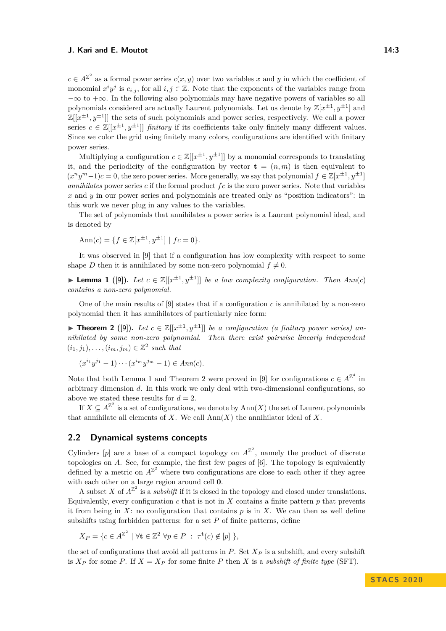$c \in A^{\mathbb{Z}^2}$  as a formal power series  $c(x, y)$  over two variables *x* and *y* in which the coefficient of monomial  $x^i y^j$  is  $c_{i,j}$ , for all  $i, j \in \mathbb{Z}$ . Note that the exponents of the variables range from  $-\infty$  to  $+\infty$ . In the following also polynomials may have negative powers of variables so all polynomials considered are actually Laurent polynomials. Let us denote by  $\mathbb{Z}[x^{\pm 1}, y^{\pm 1}]$  and  $\mathbb{Z}[[x^{\pm 1}, y^{\pm 1}]]$  the sets of such polynomials and power series, respectively. We call a power series  $c \in \mathbb{Z}[[x^{\pm 1}, y^{\pm 1}]]$  *finitary* if its coefficients take only finitely many different values. Since we color the grid using finitely many colors, configurations are identified with finitary power series.

Multiplying a configuration  $c \in \mathbb{Z}[[x^{\pm 1}, y^{\pm 1}]]$  by a monomial corresponds to translating it, and the periodicity of the configuration by vector  $\mathbf{t} = (n, m)$  is then equivalent to  $(x^n y^m - 1)c = 0$ , the zero power series. More generally, we say that polynomial  $f \in \mathbb{Z}[x^{\pm 1}, y^{\pm 1}]$ *annihilates* power series *c* if the formal product *f c* is the zero power series. Note that variables *x* and *y* in our power series and polynomials are treated only as "position indicators": in this work we never plug in any values to the variables.

The set of polynomials that annihilates a power series is a Laurent polynomial ideal, and is denoted by

$$
Ann(c) = \{ f \in \mathbb{Z}[x^{\pm 1}, y^{\pm 1}] \mid fc = 0 \}.
$$

It was observed in [\[9\]](#page-11-2) that if a configuration has low complexity with respect to some shape *D* then it is annihilated by some non-zero polynomial  $f \neq 0$ .

<span id="page-2-0"></span>▶ **Lemma 1** ([\[9\]](#page-11-2)). Let  $c \in \mathbb{Z}[[x^{\pm 1}, y^{\pm 1}]]$  be a low complexity configuration. Then  $Ann(c)$ *contains a non-zero polynomial.*

One of the main results of  $[9]$  states that if a configuration c is annihilated by a non-zero polynomial then it has annihilators of particularly nice form:

<span id="page-2-1"></span>▶ **Theorem 2** ([\[9\]](#page-11-2)). Let  $c \in \mathbb{Z}[[x^{\pm 1}, y^{\pm 1}]]$  be a configuration (a finitary power series) an*nihilated by some non-zero polynomial. Then there exist pairwise linearly independent*  $(i_1, j_1), \ldots, (i_m, j_m) \in \mathbb{Z}^2$  such that

$$
(x^{i_1}y^{j_1}-1)\cdots(x^{i_m}y^{j_m}-1)\in Ann(c).
$$

Note that both Lemma [1](#page-2-0) and Theorem [2](#page-2-1) were proved in [\[9\]](#page-11-2) for configurations  $c \in A^{\mathbb{Z}^d}$  in arbitrary dimension *d*. In this work we only deal with two-dimensional configurations, so above we stated these results for  $d = 2$ .

If  $X \subseteq A^{\mathbb{Z}^2}$  is a set of configurations, we denote by  $\text{Ann}(X)$  the set of Laurent polynomials that annihilate all elements of *X*. We call  $\text{Ann}(X)$  the annihilator ideal of *X*.

# <span id="page-2-2"></span>**2.2 Dynamical systems concepts**

Cylinders  $[p]$  are a base of a compact topology on  $A^{\mathbb{Z}^2}$ , namely the product of discrete topologies on *A*. See, for example, the first few pages of [\[6\]](#page-10-3). The topology is equivalently defined by a metric on  $A^{\mathbb{Z}^2}$  where two configurations are close to each other if they agree with each other on a large region around cell **0**.

A subset X of  $A^{\mathbb{Z}^2}$  is a *subshift* if it is closed in the topology and closed under translations. Equivalently, every configuration  $c$  that is not in  $X$  contains a finite pattern  $p$  that prevents it from being in  $X$ : no configuration that contains  $p$  is in  $X$ . We can then as well define subshifts using forbidden patterns: for a set *P* of finite patterns, define

$$
X_P = \{c \in A^{\mathbb{Z}^2} \mid \forall \mathbf{t} \in \mathbb{Z}^2 \,\forall p \in P \; : \; \tau^{\mathbf{t}}(c) \notin [p] \,\},
$$

the set of configurations that avoid all patterns in *P*. Set *X<sup>P</sup>* is a subshift, and every subshift is  $X_P$  for some *P*. If  $X = X_P$  for some finite *P* then *X* is a *subshift of finite type* (SFT).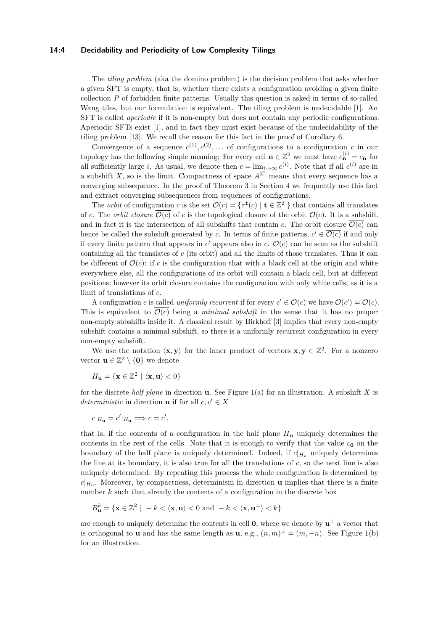## **14:4 Decidability and Periodicity of Low Complexity Tilings**

The *tiling problem* (aka the domino problem) is the decision problem that asks whether a given SFT is empty, that is, whether there exists a configuration avoiding a given finite collection *P* of forbidden finite patterns. Usually this question is asked in terms of so-called Wang tiles, but our formulation is equivalent. The tiling problem is undecidable [\[1\]](#page-10-0). An SFT is called *aperiodic* if it is non-empty but does not contain any periodic configurations. Aperiodic SFTs exist [\[1\]](#page-10-0), and in fact they must exist because of the undecidability of the tiling problem [\[13\]](#page-11-3). We recall the reason for this fact in the proof of Corollary [6.](#page-4-1)

Convergence of a sequence  $c^{(1)}$ ,  $c^{(2)}$ ,... of configurations to a configuration *c* in our topology has the following simple meaning: For every cell  $\mathbf{n} \in \mathbb{Z}^2$  we must have  $c_{\mathbf{n}}^{(i)} = c_{\mathbf{n}}$  for all sufficiently large *i*. As usual, we denote then  $c = \lim_{i \to \infty} c^{(i)}$ . Note that if all  $c^{(i)}$  are in a subshift *X*, so is the limit. Compactness of space  $A^{\mathbb{Z}^2}$  means that every sequence has a converging subsequence. In the proof of Theorem [3](#page-4-3) in Section [4](#page-5-0) we frequently use this fact and extract converging subsequences from sequences of configurations.

The *orbit* of configuration *c* is the set  $\mathcal{O}(c) = \{ \tau^{\mathbf{t}}(c) \mid \mathbf{t} \in \mathbb{Z}^2 \}$  that contains all translates of *c*. The *orbit closure*  $\overline{\mathcal{O}(c)}$  of *c* is the topological closure of the orbit  $\mathcal{O}(c)$ . It is a subshift, and in fact it is the intersection of all subshifts that contain *c*. The orbit closure  $\overline{\mathcal{O}(c)}$  can hence be called the subshift generated by *c*. In terms of finite patterns,  $c' \in \overline{\mathcal{O}(c)}$  if and only if every finite pattern that appears in  $c'$  appears also in  $c$ .  $\overline{\mathcal{O}(c)}$  can be seen as the subshift containing all the translates of *c* (its orbit) and all the limits of those translates. Thus it can be different of  $\mathcal{O}(c)$ : if c is the configuration that with a black cell at the origin and white everywhere else, all the configurations of its orbit will contain a black cell, but at different positions; however its orbit closure contains the configuration with only white cells, as it is a limit of translations of *c*.

A configuration *c* is called *uniformly recurrent* if for every  $c' \in \overline{\mathcal{O}(c)}$  we have  $\overline{\mathcal{O}(c')} = \overline{\mathcal{O}(c)}$ . This is equivalent to  $\overline{\mathcal{O}(c)}$  being a *minimal subshift* in the sense that it has no proper non-empty subshifts inside it. A classical result by Birkhoff [\[3\]](#page-10-4) implies that every non-empty subshift contains a minimal subshift, so there is a uniformly recurrent configuration in every non-empty subshift.

We use the notation  $\langle \mathbf{x}, \mathbf{y} \rangle$  for the inner product of vectors  $\mathbf{x}, \mathbf{y} \in \mathbb{Z}^2$ . For a nonzero vector  $\mathbf{u} \in \mathbb{Z}^2 \setminus \{\mathbf{0}\}\$ we denote

$$
H_{\mathbf{u}} = \{ \mathbf{x} \in \mathbb{Z}^2 \mid \langle \mathbf{x}, \mathbf{u} \rangle < 0 \}
$$

for the discrete *half plane* in direction **u**. See Figure [1\(](#page-4-4)a) for an illustration. A subshift *X* is *deterministic* in direction **u** if for all  $c, c' \in X$ 

$$
c|_{H_{\mathbf{u}}}=c'|_{H_{\mathbf{u}}}\Longrightarrow c=c',
$$

that is, if the contents of a configuration in the half plane  $H_u$  uniquely determines the contents in the rest of the cells. Note that it is enough to verify that the value  $c_0$  on the boundary of the half plane is uniquely determined. Indeed, if  $c|_{H_u}$  uniquely determines the line at its boundary, it is also true for all the translations of *c*, so the next line is also uniquely determined. By repeating this process the whole configuration is determined by  $c|_{H_u}$ . Moreover, by compactness, determinism in direction **u** implies that there is a finite number *k* such that already the contents of a configuration in the discrete box

$$
B_{\mathbf{u}}^{k} = \{ \mathbf{x} \in \mathbb{Z}^{2} \mid -k < \langle \mathbf{x}, \mathbf{u} \rangle < 0 \text{ and } -k < \langle \mathbf{x}, \mathbf{u}^{\perp} \rangle < k \}
$$

are enough to uniquely determine the contents in cell **0**, where we denote by  $\mathbf{u}^{\perp}$  a vector that is orthogonal to **u** and has the same length as **u**, e.g.,  $(n,m)^{\perp} = (m, -n)$ . See Figure [1\(](#page-4-4)b) for an illustration.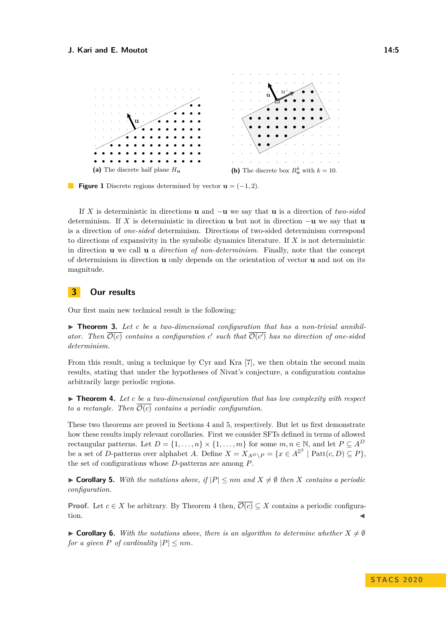<span id="page-4-4"></span>

**Figure 1** Discrete regions determined by vector  $\mathbf{u} = (-1, 2)$ .

If *X* is deterministic in directions **u** and −**u** we say that **u** is a direction of *two-sided* determinism. If *X* is deterministic in direction **u** but not in direction −**u** we say that **u** is a direction of *one-sided* determinism. Directions of two-sided determinism correspond to directions of expansivity in the symbolic dynamics literature. If *X* is not deterministic in direction **u** we call **u** a *direction of non-determinism*. Finally, note that the concept of determinism in direction **u** only depends on the orientation of vector **u** and not on its magnitude.

# **3 Our results**

<span id="page-4-3"></span>Our first main new technical result is the following:

▶ Theorem 3. Let *c* be a two-dimensional configuration that has a non-trivial annihilator. Then  $\overline{\mathcal{O}(c)}$  contains a configuration c' such that  $\overline{\mathcal{O}(c')}$  has no direction of one-sided *determinism.*

From this result, using a technique by Cyr and Kra [\[7\]](#page-11-4), we then obtain the second main results, stating that under the hypotheses of Nivat's conjecture, a configuration contains arbitrarily large periodic regions.

<span id="page-4-2"></span>▶ **Theorem 4.** Let *c* be a two-dimensional configuration that has low complexity with respect *to a rectangle. Then*  $\overline{\mathcal{O}(c)}$  *contains a periodic configuration.* 

These two theorems are proved in Sections [4](#page-5-0) and [5,](#page-8-0) respectively. But let us first demonstrate how these results imply relevant corollaries. First we consider SFTs defined in terms of allowed rectangular patterns. Let  $D = \{1, ..., n\} \times \{1, ..., m\}$  for some  $m, n \in \mathbb{N}$ , and let  $P \subseteq A^D$ be a set of *D*-patterns over alphabet *A*. Define  $X = X_{A^D \setminus P} = \{x \in A^{\mathbb{Z}^2} \mid \text{Patt}(c, D) \subseteq P\},$ the set of configurations whose *D*-patterns are among *P*.

<span id="page-4-0"></span>▶ **Corollary 5.** With the notations above, if  $|P| \leq nm$  and  $X \neq \emptyset$  then *X* contains a periodic *configuration.*

**Proof.** Let  $c \in X$  be arbitrary. By Theorem [4](#page-4-2) then,  $\overline{\mathcal{O}(c)} \subseteq X$  contains a periodic configura- $\blacksquare$ 

<span id="page-4-1"></span>**If Corollary 6.** With the notations above, there is an algorithm to determine whether  $X \neq \emptyset$ *for a given P of cardinality*  $|P| \leq nm$ *.*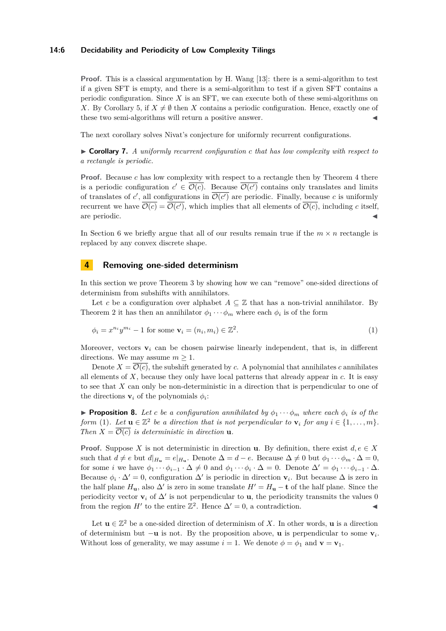## **14:6 Decidability and Periodicity of Low Complexity Tilings**

**Proof.** This is a classical argumentation by H. Wang [\[13\]](#page-11-3): there is a semi-algorithm to test if a given SFT is empty, and there is a semi-algorithm to test if a given SFT contains a periodic configuration. Since *X* is an SFT, we can execute both of these semi-algorithms on *X*. By Corollary [5,](#page-4-0) if  $X \neq \emptyset$  then *X* contains a periodic configuration. Hence, exactly one of these two semi-algorithms will return a positive answer.

The next corollary solves Nivat's conjecture for uniformly recurrent configurations.

I **Corollary 7.** *A uniformly recurrent configuration c that has low complexity with respect to a rectangle is periodic.*

**Proof.** Because *c* has low complexity with respect to a rectangle then by Theorem [4](#page-4-2) there is a periodic configuration  $c' \in \overline{\mathcal{O}(c)}$ . Because  $\overline{\mathcal{O}(c')}$  contains only translates and limits of translates of c', all configurations in  $\overline{\mathcal{O}(c')}$  are periodic. Finally, because c is uniformly recurrent we have  $\mathcal{O}(c) = \mathcal{O}(c')$ , which implies that all elements of  $\mathcal{O}(c)$ , including *c* itself, are periodic.

In Section [6](#page-10-1) we briefly argue that all of our results remain true if the  $m \times n$  rectangle is replaced by any convex discrete shape.

## <span id="page-5-0"></span>**4 Removing one-sided determinism**

In this section we prove Theorem [3](#page-4-3) by showing how we can "remove" one-sided directions of determinism from subshifts with annihilators.

Let *c* be a configuration over alphabet  $A \subseteq \mathbb{Z}$  that has a non-trivial annihilator. By Theorem [2](#page-2-1) it has then an annihilator  $\phi_1 \cdots \phi_m$  where each  $\phi_i$  is of the form

<span id="page-5-1"></span>
$$
\phi_i = x^{n_i} y^{m_i} - 1 \text{ for some } \mathbf{v}_i = (n_i, m_i) \in \mathbb{Z}^2. \tag{1}
$$

Moreover, vectors  $\mathbf{v}_i$  can be chosen pairwise linearly independent, that is, in different directions. We may assume  $m \geq 1$ .

Denote  $X = \overline{\mathcal{O}(c)}$ , the subshift generated by *c*. A polynomial that annihilates *c* annihilates all elements of *X*, because they only have local patterns that already appear in *c*. It is easy to see that *X* can only be non-deterministic in a direction that is perpendicular to one of the directions **v**<sub>*i*</sub> of the polynomials  $\phi_i$ :

<span id="page-5-2"></span>**Proposition 8.** Let *c* be a configuration annihilated by  $\phi_1 \cdots \phi_m$  where each  $\phi_i$  is of the *form* [\(1\)](#page-5-1). Let  $\mathbf{u} \in \mathbb{Z}^2$  be a direction that is not perpendicular to  $\mathbf{v}_i$  for any  $i \in \{1, \ldots, m\}$ . *Then*  $X = \overline{\mathcal{O}(c)}$  *is deterministic in direction* **u**.

**Proof.** Suppose X is not deterministic in direction **u**. By definition, there exist  $d, e \in X$ such that  $d \neq e$  but  $d|_{H_u} = e|_{H_u}$ . Denote  $\Delta = d - e$ . Because  $\Delta \neq 0$  but  $\phi_1 \cdots \phi_m \cdot \Delta = 0$ , for some *i* we have  $\phi_1 \cdots \phi_{i-1} \cdot \Delta \neq 0$  and  $\phi_1 \cdots \phi_i \cdot \Delta = 0$ . Denote  $\Delta' = \phi_1 \cdots \phi_{i-1} \cdot \Delta$ . Because  $\phi_i \cdot \Delta' = 0$ , configuration  $\Delta'$  is periodic in direction **v**<sub>*i*</sub>. But because  $\Delta$  is zero in the half plane  $H_{\mathbf{u}}$ , also  $\Delta'$  is zero in some translate  $H' = H_{\mathbf{u}} - \mathbf{t}$  of the half plane. Since the periodicity vector  $\mathbf{v}_i$  of  $\Delta'$  is not perpendicular to **u**, the periodicity transmits the values 0 from the region *H'* to the entire  $\mathbb{Z}^2$ . Hence  $\Delta' = 0$ , a contradiction.

Let  $\mathbf{u} \in \mathbb{Z}^2$  be a one-sided direction of determinism of X. In other words, **u** is a direction of determinism but −**u** is not. By the proposition above, **u** is perpendicular to some **v***<sup>i</sup>* . Without loss of generality, we may assume  $i = 1$ . We denote  $\phi = \phi_1$  and  $\mathbf{v} = \mathbf{v}_1$ .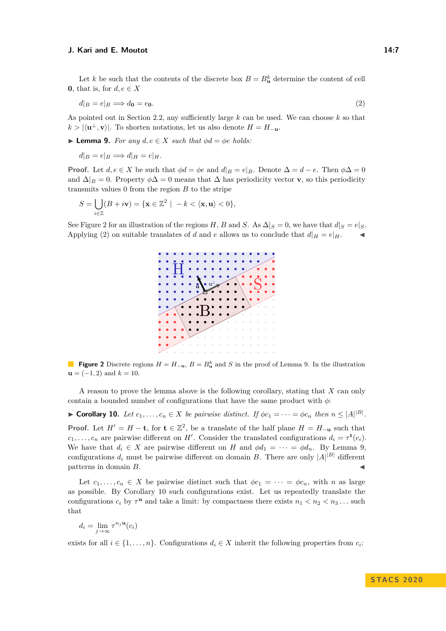Let *k* be such that the contents of the discrete box  $B = B_{\mathbf{u}}^k$  determine the content of cell **0**, that is, for  $d, e \in X$ 

<span id="page-6-1"></span>
$$
d|_B = e|_B \Longrightarrow d_0 = e_0. \tag{2}
$$

As pointed out in Section [2.2,](#page-2-2) any sufficiently large *k* can be used. We can choose *k* so that  $k > |\langle \mathbf{u}^{\perp}, \mathbf{v} \rangle|$ . To shorten notations, let us also denote  $H = H_{-\mathbf{u}}$ .

<span id="page-6-2"></span>▶ **Lemma 9.** *For any*  $d, e \in X$  *such that*  $\phi d = \phi e$  *holds:* 

$$
d|_B = e|_B \Longrightarrow d|_H = e|_H.
$$

**Proof.** Let  $d, e \in X$  be such that  $\phi d = \phi e$  and  $d|_B = e|_B$ . Denote  $\Delta = d - e$ . Then  $\phi \Delta = 0$ and  $\Delta|_B = 0$ . Property  $\phi \Delta = 0$  means that  $\Delta$  has periodicity vector **v**, so this periodicity transmits values 0 from the region *B* to the stripe

$$
S = \bigcup_{i \in \mathbb{Z}} (B + i\mathbf{v}) = \{ \mathbf{x} \in \mathbb{Z}^2 \mid -k < \langle \mathbf{x}, \mathbf{u} \rangle < 0 \},
$$

<span id="page-6-0"></span>See Figure [2](#page-6-0) for an illustration of the regions *H*, *B* and *S*. As  $\Delta|_S = 0$ , we have that  $d|_S = e|_S$ . Applying [\(2\)](#page-6-1) on suitable translates of *d* and *e* allows us to conclude that  $d|_H = e|_H$ .



**Figure 2** Discrete regions  $H = H_{-\mathbf{u}}, B = B_{\mathbf{u}}^k$  and *S* in the proof of Lemma [9.](#page-6-2) In the illustration  **and**  $k = 10$ **.** 

A reason to prove the lemma above is the following corollary, stating that *X* can only contain a bounded number of configurations that have the same product with *φ*:

<span id="page-6-3"></span>► **Corollary 10.** *Let*  $c_1, \ldots, c_n \in X$  *be pairwise distinct. If*  $\phi c_1 = \cdots = \phi c_n$  *then*  $n \leq |A|^{|\mathcal{B}|}$ *.* **Proof.** Let  $H' = H - \mathbf{t}$ , for  $\mathbf{t} \in \mathbb{Z}^2$ , be a translate of the half plane  $H = H_{-\mathbf{u}}$  such that  $c_1, \ldots, c_n$  are pairwise different on *H*<sup> $\prime$ </sup>. Consider the translated configurations  $d_i = \tau^{\mathbf{t}}(c_i)$ . We have that  $d_i \in X$  are pairwise different on *H* and  $\phi d_1 = \cdots = \phi d_n$ . By Lemma [9,](#page-6-2) configurations  $d_i$  must be pairwise different on domain *B*. There are only  $|A|^{|B|}$  different patterns in domain *B*.

Let  $c_1, \ldots, c_n \in X$  be pairwise distinct such that  $\phi c_1 = \cdots = \phi c_n$ , with *n* as large as possible. By Corollary [10](#page-6-3) such configurations exist. Let us repeatedly translate the configurations  $c_i$  by  $\tau^{\mathbf{u}}$  and take a limit: by compactness there exists  $n_1 < n_2 < n_3 \dots$  such that

$$
d_i = \lim_{j \to \infty} \tau^{n_j \mathbf{u}}(c_i)
$$

<span id="page-6-4"></span>exists for all  $i \in \{1, \ldots, n\}$ . Configurations  $d_i \in X$  inherit the following properties from  $c_i$ :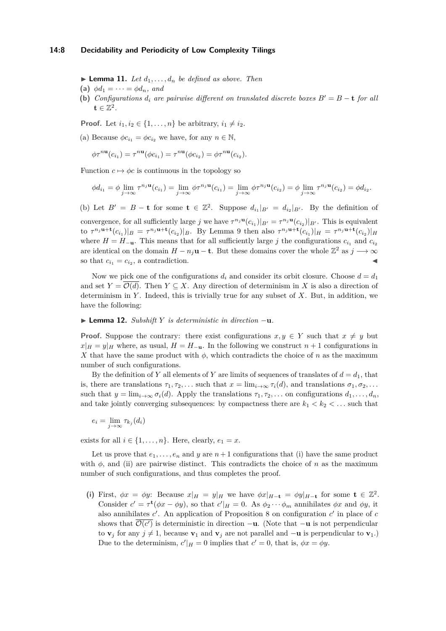#### **14:8 Decidability and Periodicity of Low Complexity Tilings**

 $\blacktriangleright$  **Lemma 11.** Let  $d_1, \ldots, d_n$  be defined as above. Then

- **(a)**  $\phi d_1 = \cdots = \phi d_n$ , and
- **(b)** *Configurations*  $d_i$  *are pairwise different on translated discrete boxes*  $B' = B t$  *for all*  $\mathbf{t} \in \mathbb{Z}^2$ .

**Proof.** Let  $i_1, i_2 \in \{1, \ldots, n\}$  be arbitrary,  $i_1 \neq i_2$ .

(a) Because  $\phi c_{i_1} = \phi c_{i_2}$  we have, for any  $n \in \mathbb{N}$ ,

$$
\phi\tau^{n\mathbf{u}}(c_{i_1})=\tau^{n\mathbf{u}}(\phi c_{i_1})=\tau^{n\mathbf{u}}(\phi c_{i_2})=\phi\tau^{n\mathbf{u}}(c_{i_2}).
$$

Function  $c \mapsto \phi c$  is continuous in the topology so

$$
\phi d_{i_1} = \phi \lim_{j \to \infty} \tau^{n_j \mathbf{u}}(c_{i_1}) = \lim_{j \to \infty} \phi \tau^{n_j \mathbf{u}}(c_{i_1}) = \lim_{j \to \infty} \phi \tau^{n_j \mathbf{u}}(c_{i_2}) = \phi \lim_{j \to \infty} \tau^{n_j \mathbf{u}}(c_{i_2}) = \phi d_{i_2}.
$$

(b) Let  $B' = B - \mathbf{t}$  for some  $\mathbf{t} \in \mathbb{Z}^2$ . Suppose  $d_{i_1}|_{B'} = d_{i_2}|_{B'}$ . By the definition of

convergence, for all sufficiently large *j* we have  $\tau^{n_j}$ **u** $(c_{i_1})|_{B'} = \tau^{n_j}$ **u** $(c_{i_2})|_{B'}$ . This is equivalent to  $\tau^{n_j}$ **u**+**t** $(c_{i_1})|_B = \tau^{n_j}$ **u**+**t** $(c_{i_2})|_B$ . By Lemma [9](#page-6-2) then also  $\tau^{n_j}$ **u**+**t** $(c_{i_1})|_H = \tau^{n_j}$ **u**+**t** $(c_{i_2})|_H$ where  $H = H_{-\mathbf{u}}$ . This means that for all sufficiently large *j* the configurations  $c_{i_1}$  and  $c_{i_2}$ are identical on the domain  $H - n_j \mathbf{u} - \mathbf{t}$ . But these domains cover the whole  $\mathbb{Z}^2$  as  $j \longrightarrow \infty$ so that  $c_{i_1} = c_{i_2}$ , a contradiction.

Now we pick one of the configurations  $d_i$  and consider its orbit closure. Choose  $d = d_1$ and set  $Y = \mathcal{O}(d)$ . Then  $Y \subseteq X$ . Any direction of determinism in X is also a direction of determinism in *Y* . Indeed, this is trivially true for any subset of *X*. But, in addition, we have the following:

## I **Lemma 12.** *Subshift Y is deterministic in direction* −**u***.*

**Proof.** Suppose the contrary: there exist configurations  $x, y \in Y$  such that  $x \neq y$  but  $x|_H = y|_H$  where, as usual,  $H = H_{-\mathbf{u}}$ . In the following we construct  $n+1$  configurations in *X* that have the same product with  $\phi$ , which contradicts the choice of *n* as the maximum number of such configurations.

By the definition of *Y* all elements of *Y* are limits of sequences of translates of  $d = d_1$ , that is, there are translations  $\tau_1, \tau_2, \ldots$  such that  $x = \lim_{i \to \infty} \tau_i(d)$ , and translations  $\sigma_1, \sigma_2, \ldots$ such that  $y = \lim_{i \to \infty} \sigma_i(d)$ . Apply the translations  $\tau_1, \tau_2, \ldots$  on configurations  $d_1, \ldots, d_n$ , and take jointly converging subsequences: by compactness there are  $k_1 < k_2 < \ldots$  such that

$$
e_i = \lim_{j \to \infty} \tau_{k_j}(d_i)
$$

exists for all  $i \in \{1, \ldots, n\}$ . Here, clearly,  $e_1 = x$ .

Let us prove that  $e_1, \ldots, e_n$  and *y* are  $n+1$  configurations that (i) have the same product with  $\phi$ , and (ii) are pairwise distinct. This contradicts the choice of *n* as the maximum number of such configurations, and thus completes the proof.

(i) First,  $\phi x = \phi y$ : Because  $x|_H = y|_H$  we have  $\phi x|_{H-\mathbf{t}} = \phi y|_{H-\mathbf{t}}$  for some  $\mathbf{t} \in \mathbb{Z}^2$ . Consider  $c' = \tau^{\mathbf{t}}(\phi x - \phi y)$ , so that  $c'|_H = 0$ . As  $\phi_2 \cdots \phi_m$  annihilates  $\phi x$  and  $\phi y$ , it also annihilates  $c'$ . An application of Proposition [8](#page-5-2) on configuration  $c'$  in place of  $c$ shows that  $\mathcal{O}(c')$  is deterministic in direction  $-\mathbf{u}$ . (Note that  $-\mathbf{u}$  is not perpendicular to **v**<sub>*j*</sub> for any *j* ≠ 1, because **v**<sub>1</sub> and **v**<sub>*j*</sub> are not parallel and −**u** is perpendicular to **v**<sub>1</sub>.) Due to the determinism,  $c'|_H = 0$  implies that  $c' = 0$ , that is,  $\phi x = \phi y$ .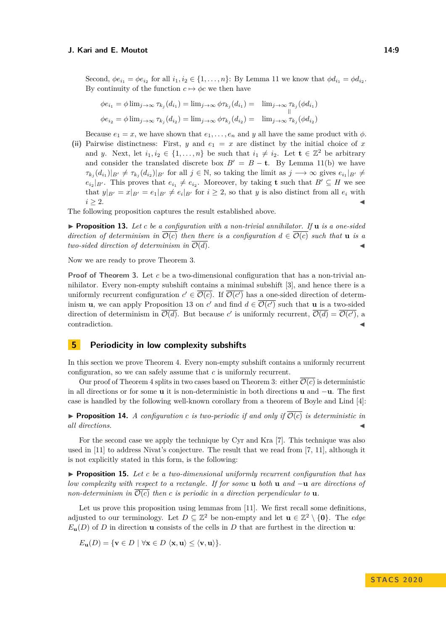Second,  $\phi e_{i_1} = \phi e_{i_2}$  for all  $i_1, i_2 \in \{1, \ldots, n\}$ : By Lemma [11](#page-6-4) we know that  $\phi d_{i_1} = \phi d_{i_2}$ . By continuity of the function  $c \mapsto \phi c$  we then have

$$
\phi e_{i_1} = \phi \lim_{j \to \infty} \tau_{k_j}(d_{i_1}) = \lim_{j \to \infty} \phi \tau_{k_j}(d_{i_1}) = \lim_{j \to \infty} \tau_{k_j}(\phi d_{i_1})
$$
  

$$
\phi e_{i_2} = \phi \lim_{j \to \infty} \tau_{k_j}(d_{i_2}) = \lim_{j \to \infty} \phi \tau_{k_j}(d_{i_2}) = \lim_{j \to \infty} \tau_{k_j}(\phi d_{i_2})
$$

Because  $e_1 = x$ , we have shown that  $e_1, \ldots, e_n$  and *y* all have the same product with  $\phi$ .

(ii) Pairwise distinctness: First, *y* and  $e_1 = x$  are distinct by the initial choice of *x* and *y*. Next, let  $i_1, i_2 \in \{1, ..., n\}$  be such that  $i_1 \neq i_2$ . Let  $\mathbf{t} \in \mathbb{Z}^2$  be arbitrary and consider the translated discrete box  $B' = B - \mathbf{t}$ . By Lemma [11\(](#page-6-4)b) we have  $\tau_{k_j}(d_{i_1})|_{B'} \neq \tau_{k_j}(d_{i_2})|_{B'}$  for all  $j \in \mathbb{N}$ , so taking the limit as  $j \longrightarrow \infty$  gives  $e_{i_1}|_{B'} \neq$  $e_{i_2}|_{B'}$ . This proves that  $e_{i_1} \neq e_{i_2}$ . Moreover, by taking **t** such that  $B' \subseteq H$  we see that  $y|_{B'} = x|_{B'} = e_1|_{B'} \neq e_i|_{B'}$  for  $i \geq 2$ , so that *y* is also distinct from all  $e_i$  with  $i \geq 2$ .

The following proposition captures the result established above.

<span id="page-8-1"></span> $\triangleright$  **Proposition 13.** Let *c* be a configuration with a non-trivial annihilator. If **u** is a one-sided *direction of determinism in*  $\overline{\mathcal{O}(c)}$  *then there is a configuration*  $d \in \overline{\mathcal{O}(c)}$  *such that* **u** *is a two-sided direction of determinism in*  $\overline{\mathcal{O}(d)}$ *.* 

Now we are ready to prove Theorem [3.](#page-4-3)

**Proof of Theorem [3.](#page-4-3)** Let *c* be a two-dimensional configuration that has a non-trivial annihilator. Every non-empty subshift contains a minimal subshift [\[3\]](#page-10-4), and hence there is a uniformly recurrent configuration  $c' \in \overline{\mathcal{O}(c)}$ . If  $\overline{\mathcal{O}(c')}$  has a one-sided direction of determinism **u**, we can apply Proposition [13](#page-8-1) on *c*' and find  $d \in \overline{\mathcal{O}(c')}$  such that **u** is a two-sided direction of determinism in  $\overline{\mathcal{O}(d)}$ . But because *c*' is uniformly recurrent,  $\overline{\mathcal{O}(d)} = \overline{\mathcal{O}(c')}$ , a contradiction.

## <span id="page-8-0"></span>**5 Periodicity in low complexity subshifts**

In this section we prove Theorem [4.](#page-4-2) Every non-empty subshift contains a uniformly recurrent configuration, so we can safely assume that *c* is uniformly recurrent.

Our proof of Theorem [4](#page-4-2) splits in two cases based on Theorem [3:](#page-4-3) either  $\overline{\mathcal{O}(c)}$  is deterministic in all directions or for some **u** it is non-deterministic in both directions **u** and −**u**. The first case is handled by the following well-known corollary from a theorem of Boyle and Lind [\[4\]](#page-10-5):

<span id="page-8-3"></span>**Proposition 14.** A configuration c is two-periodic if and only if  $\overline{O(c)}$  is deterministic in  $all$  directions.

For the second case we apply the technique by Cyr and Kra [\[7\]](#page-11-4). This technique was also used in [\[11\]](#page-11-5) to address Nivat's conjecture. The result that we read from [\[7,](#page-11-4) [11\]](#page-11-5), although it is not explicitly stated in this form, is the following:

<span id="page-8-2"></span>I **Proposition 15.** *Let c be a two-dimensional uniformly recurrent configuration that has low complexity with respect to a rectangle. If for some* **u** *both* **u** *and* −**u** *are directions of non-determinism in*  $\overline{\mathcal{O}(c)}$  *then c is periodic in a direction perpendicular to* **u***.* 

Let us prove this proposition using lemmas from [\[11\]](#page-11-5). We first recall some definitions, adjusted to our terminology. Let  $D \subseteq \mathbb{Z}^2$  be non-empty and let  $\mathbf{u} \in \mathbb{Z}^2 \setminus \{\mathbf{0}\}$ . The *edge*  $E_{\mathbf{u}}(D)$  of *D* in direction **u** consists of the cells in *D* that are furthest in the direction **u**:

$$
E_{\mathbf{u}}(D) = \{ \mathbf{v} \in D \mid \forall \mathbf{x} \in D \langle \mathbf{x}, \mathbf{u} \rangle \le \langle \mathbf{v}, \mathbf{u} \rangle \}.
$$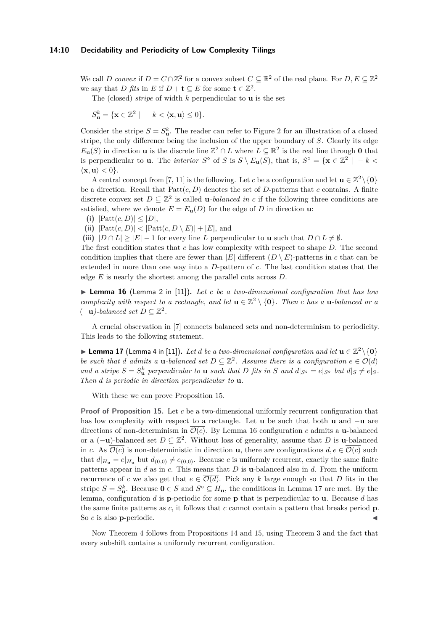#### **14:10 Decidability and Periodicity of Low Complexity Tilings**

We call *D* convex if  $D = C \cap \mathbb{Z}^2$  for a convex subset  $C \subseteq \mathbb{R}^2$  of the real plane. For  $D, E \subseteq \mathbb{Z}^2$ we say that *D fits* in *E* if  $D + \mathbf{t} \subseteq E$  for some  $\mathbf{t} \in \mathbb{Z}^2$ .

The (closed) *stripe* of width *k* perpendicular to **u** is the set

$$
S_{\mathbf{u}}^k = \{ \mathbf{x} \in \mathbb{Z}^2 \mid -k < \langle \mathbf{x}, \mathbf{u} \rangle \le 0 \}.
$$

Consider the stripe  $S = S^k_{\mathbf{u}}$ . The reader can refer to Figure [2](#page-6-0) for an illustration of a closed stripe, the only difference being the inclusion of the upper boundary of *S*. Clearly its edge  $E_{\mathbf{u}}(S)$  in direction **u** is the discrete line  $\mathbb{Z}^2 \cap L$  where  $L \subseteq \mathbb{R}^2$  is the real line through **0** that is perpendicular to **u**. The *interior*  $S^{\circ}$  of *S* is  $S \setminus E_{\mathbf{u}}(S)$ , that is,  $S^{\circ} = {\mathbf{x} \in \mathbb{Z}^2 \mid -k \leq \mathbb{Z}^2}$  $\langle \mathbf{x}, \mathbf{u} \rangle < 0$ .

A central concept from [\[7,](#page-11-4) [11\]](#page-11-5) is the following. Let *c* be a configuration and let  $\mathbf{u} \in \mathbb{Z}^2 \setminus \{\mathbf{0}\}\$ be a direction. Recall that Patt(*c, D*) denotes the set of *D*-patterns that *c* contains. A finite discrete convex set  $D \subseteq \mathbb{Z}^2$  is called **u***-balanced in c* if the following three conditions are satisfied, where we denote  $E = E_{\mathbf{u}}(D)$  for the edge of *D* in direction **u**:

(i)  $|{\rm Patt}(c, D)| \leq |D|$ ,

(ii)  $|\text{Patt}(c, D)| < |\text{Patt}(c, D \setminus E)| + |E|$ , and

(iii)  $|D \cap L| \geq |E| - 1$  for every line *L* perpendicular to **u** such that  $D \cap L \neq \emptyset$ .

The first condition states that *c* has low complexity with respect to shape *D*. The second condition implies that there are fewer than  $|E|$  different  $(D \setminus E)$ -patterns in *c* that can be extended in more than one way into a *D*-pattern of *c*. The last condition states that the edge *E* is nearly the shortest among the parallel cuts across *D*.

<span id="page-9-0"></span>▶ Lemma 16 (Lemma 2 in [\[11\]](#page-11-5)). Let *c* be a two-dimensional configuration that has low *complexity with respect to a rectangle, and let*  $\mathbf{u} \in \mathbb{Z}^2 \setminus \{\mathbf{0}\}\$ *. Then c has a* **u***-balanced or a*  $(-**u**)$ -balanced set  $D \subseteq \mathbb{Z}^2$ .

A crucial observation in [\[7\]](#page-11-4) connects balanced sets and non-determinism to periodicity. This leads to the following statement.

<span id="page-9-1"></span>▶ Lemma 17 (Lemma 4 in [\[11\]](#page-11-5)). Let *d* be a two-dimensional configuration and let  $\mathbf{u} \in \mathbb{Z}^2 \setminus \{0\}$ *be such that d admits a* **u***-balanced set*  $D \subseteq \mathbb{Z}^2$ *. Assume there is a configuration*  $e \in \overline{\mathcal{O}(d)}$ and a stripe  $S = S_{\mathbf{u}}^k$  perpendicular to  $\mathbf{u}$  such that D fits in S and  $d|_{S^\circ} = e|_{S^\circ}$  but  $d|_S \neq e|_S$ . *Then d is periodic in direction perpendicular to* **u***.*

With these we can prove Proposition [15.](#page-8-2)

**Proof of Proposition [15.](#page-8-2)** Let *c* be a two-dimensional uniformly recurrent configuration that has low complexity with respect to a rectangle. Let **u** be such that both **u** and −**u** are directions of non-determinism in  $\overline{\mathcal{O}(c)}$ . By Lemma [16](#page-9-0) configuration *c* admits a **u**-balanced or a  $(-\mathbf{u})$ -balanced set  $D \subseteq \mathbb{Z}^2$ . Without loss of generality, assume that *D* is **u**-balanced in *c*. As  $\mathcal{O}(c)$  is non-deterministic in direction **u**, there are configurations  $d, e \in \mathcal{O}(c)$  such that  $d|_{H_u} = e|_{H_u}$  but  $d_{(0,0)} \neq e_{(0,0)}$ . Because *c* is uniformly recurrent, exactly the same finite patterns appear in *d* as in *c*. This means that *D* is **u**-balanced also in *d*. From the uniform recurrence of *c* we also get that  $e \in \overline{\mathcal{O}(d)}$ . Pick any *k* large enough so that *D* fits in the stripe  $S = S^k_{\mathbf{u}}$ . Because  $\mathbf{0} \in S$  and  $S^{\circ} \subseteq H_{\mathbf{u}}$ , the conditions in Lemma [17](#page-9-1) are met. By the lemma, configuration *d* is **p**-periodic for some **p** that is perpendicular to **u**. Because *d* has the same finite patterns as *c*, it follows that *c* cannot contain a pattern that breaks period **p**. So *c* is also **p**-periodic.

Now Theorem [4](#page-4-2) follows from Propositions [14](#page-8-3) and [15,](#page-8-2) using Theorem [3](#page-4-3) and the fact that every subshift contains a uniformly recurrent configuration.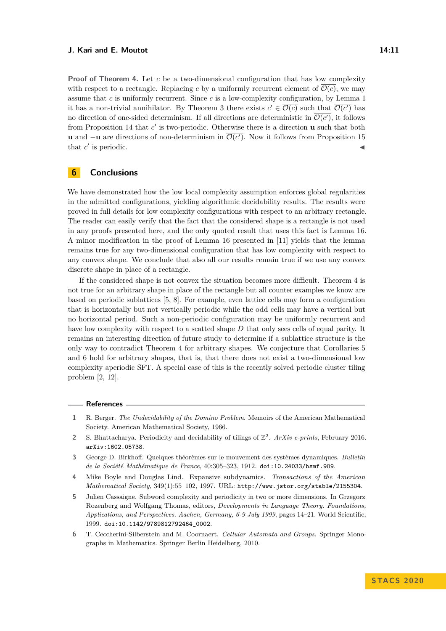**Proof of Theorem [4.](#page-4-2)** Let *c* be a two-dimensional configuration that has low complexity with respect to a rectangle. Replacing c by a uniformly recurrent element of  $\overline{\mathcal{O}(c)}$ , we may assume that *c* is uniformly recurrent. Since *c* is a low-complexity configuration, by Lemma [1](#page-2-0) it has a non-trivial annihilator. By Theorem [3](#page-4-3) there exists  $c' \in \overline{\mathcal{O}(c)}$  such that  $\overline{\mathcal{O}(c')}$  has no direction of one-sided determinism. If all directions are deterministic in  $\mathcal{O}(c')$ , it follows from Proposition [14](#page-8-3) that  $c'$  is two-periodic. Otherwise there is a direction **u** such that both **u** and  $-\mathbf{u}$  are directions of non-determinism in  $\mathcal{O}(c')$ . Now it follows from Proposition [15](#page-8-2) that  $c'$  $\blacksquare$  is periodic.

# <span id="page-10-1"></span>**6 Conclusions**

We have demonstrated how the low local complexity assumption enforces global regularities in the admitted configurations, yielding algorithmic decidability results. The results were proved in full details for low complexity configurations with respect to an arbitrary rectangle. The reader can easily verify that the fact that the considered shape is a rectangle is not used in any proofs presented here, and the only quoted result that uses this fact is Lemma [16.](#page-9-0) A minor modification in the proof of Lemma [16](#page-9-0) presented in [\[11\]](#page-11-5) yields that the lemma remains true for any two-dimensional configuration that has low complexity with respect to any convex shape. We conclude that also all our results remain true if we use any convex discrete shape in place of a rectangle.

If the considered shape is not convex the situation becomes more difficult. Theorem [4](#page-4-2) is not true for an arbitrary shape in place of the rectangle but all counter examples we know are based on periodic sublattices [\[5,](#page-10-2) [8\]](#page-11-6). For example, even lattice cells may form a configuration that is horizontally but not vertically periodic while the odd cells may have a vertical but no horizontal period. Such a non-periodic configuration may be uniformly recurrent and have low complexity with respect to a scatted shape *D* that only sees cells of equal parity. It remains an interesting direction of future study to determine if a sublattice structure is the only way to contradict Theorem [4](#page-4-2) for arbitrary shapes. We conjecture that Corollaries [5](#page-4-0) and [6](#page-4-1) hold for arbitrary shapes, that is, that there does not exist a two-dimensional low complexity aperiodic SFT. A special case of this is the recently solved periodic cluster tiling problem [\[2,](#page-10-6) [12\]](#page-11-7).

#### **References**

- <span id="page-10-0"></span>**1** R. Berger. *The Undecidability of the Domino Problem*. Memoirs of the American Mathematical Society. American Mathematical Society, 1966.
- <span id="page-10-6"></span>2 S. Bhattacharya. Periodicity and decidability of tilings of  $\mathbb{Z}^2$ . *ArXiv e-prints*, February 2016. [arXiv:1602.05738](http://arxiv.org/abs/1602.05738).
- <span id="page-10-4"></span>**3** George D. Birkhoff. Quelques théorèmes sur le mouvement des systèmes dynamiques. *Bulletin de la Société Mathématique de France*, 40:305–323, 1912. [doi:10.24033/bsmf.909](https://doi.org/10.24033/bsmf.909).
- <span id="page-10-5"></span>**4** Mike Boyle and Douglas Lind. Expansive subdynamics. *Transactions of the American Mathematical Society*, 349(1):55–102, 1997. URL: <http://www.jstor.org/stable/2155304>.
- <span id="page-10-2"></span>**5** Julien Cassaigne. Subword complexity and periodicity in two or more dimensions. In Grzegorz Rozenberg and Wolfgang Thomas, editors, *Developments in Language Theory. Foundations, Applications, and Perspectives. Aachen, Germany, 6-9 July 1999*, pages 14–21. World Scientific, 1999. [doi:10.1142/9789812792464\\_0002](https://doi.org/10.1142/9789812792464_0002).
- <span id="page-10-3"></span>**6** T. Ceccherini-Silberstein and M. Coornaert. *Cellular Automata and Groups*. Springer Monographs in Mathematics. Springer Berlin Heidelberg, 2010.